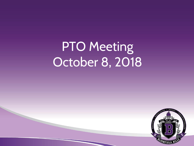# PTO Meeting October 8, 2018

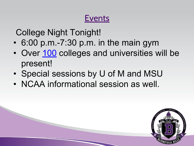## Events

College Night Tonight!

- 6:00 p.m.-7:30 p.m. in the main gym
- Over [100](https://www.bloomfield.org/uploaded/schools/BHHS/news/2018-19/2018_BHHS_College_Night_List.pdf) colleges and universities will be present!
- Special sessions by U of M and MSU
- NCAA informational session as well.

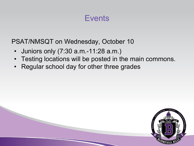#### **Events**

PSAT/NMSQT on Wednesday, October 10

- Juniors only (7:30 a.m.-11:28 a.m.)
- Testing locations will be posted in the main commons.
- Regular school day for other three grades

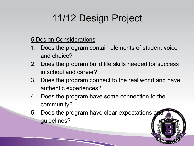## 11/12 Design Project

#### 5 Design Considerations

- 1. Does the program contain elements of student voice and choice?
- 2. Does the program build life skills needed for success in school and career?
- 3. Does the program connect to the real world and have authentic experiences?
- 4. Does the program have some connection to the community?
- 5. Does the program have clear expectations and guidelines?

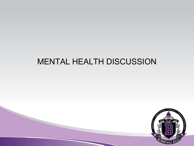### MENTAL HEALTH DISCUSSION